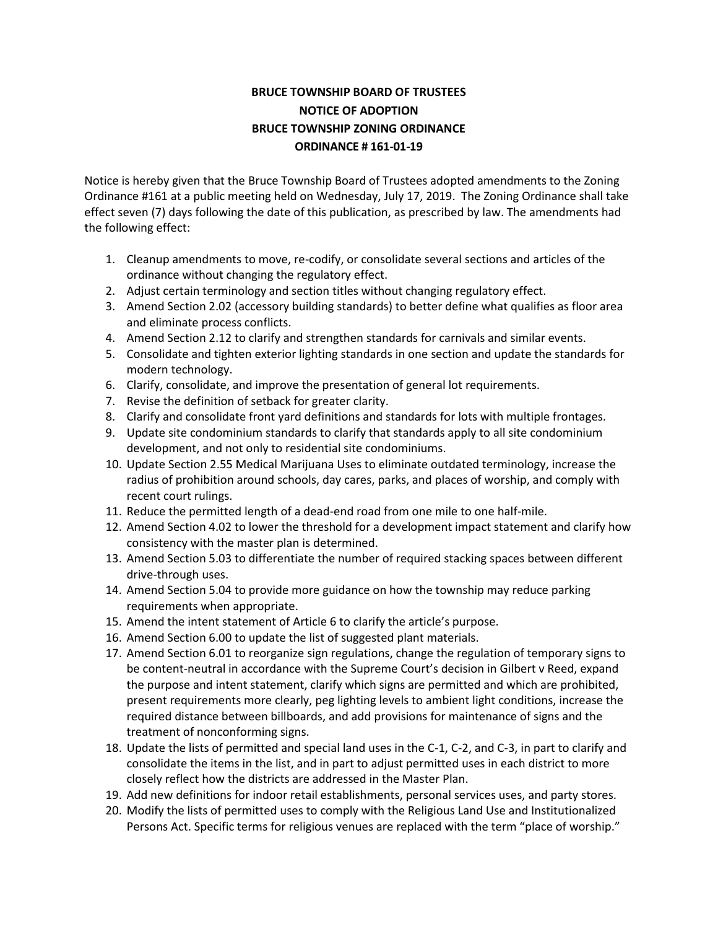## **BRUCE TOWNSHIP BOARD OF TRUSTEES NOTICE OF ADOPTION BRUCE TOWNSHIP ZONING ORDINANCE ORDINANCE # 161-01-19**

Notice is hereby given that the Bruce Township Board of Trustees adopted amendments to the Zoning Ordinance #161 at a public meeting held on Wednesday, July 17, 2019. The Zoning Ordinance shall take effect seven (7) days following the date of this publication, as prescribed by law. The amendments had the following effect:

- 1. Cleanup amendments to move, re-codify, or consolidate several sections and articles of the ordinance without changing the regulatory effect.
- 2. Adjust certain terminology and section titles without changing regulatory effect.
- 3. Amend Section 2.02 (accessory building standards) to better define what qualifies as floor area and eliminate process conflicts.
- 4. Amend Section 2.12 to clarify and strengthen standards for carnivals and similar events.
- 5. Consolidate and tighten exterior lighting standards in one section and update the standards for modern technology.
- 6. Clarify, consolidate, and improve the presentation of general lot requirements.
- 7. Revise the definition of setback for greater clarity.
- 8. Clarify and consolidate front yard definitions and standards for lots with multiple frontages.
- 9. Update site condominium standards to clarify that standards apply to all site condominium development, and not only to residential site condominiums.
- 10. Update Section 2.55 Medical Marijuana Uses to eliminate outdated terminology, increase the radius of prohibition around schools, day cares, parks, and places of worship, and comply with recent court rulings.
- 11. Reduce the permitted length of a dead-end road from one mile to one half-mile.
- 12. Amend Section 4.02 to lower the threshold for a development impact statement and clarify how consistency with the master plan is determined.
- 13. Amend Section 5.03 to differentiate the number of required stacking spaces between different drive-through uses.
- 14. Amend Section 5.04 to provide more guidance on how the township may reduce parking requirements when appropriate.
- 15. Amend the intent statement of Article 6 to clarify the article's purpose.
- 16. Amend Section 6.00 to update the list of suggested plant materials.
- 17. Amend Section 6.01 to reorganize sign regulations, change the regulation of temporary signs to be content-neutral in accordance with the Supreme Court's decision in Gilbert v Reed, expand the purpose and intent statement, clarify which signs are permitted and which are prohibited, present requirements more clearly, peg lighting levels to ambient light conditions, increase the required distance between billboards, and add provisions for maintenance of signs and the treatment of nonconforming signs.
- 18. Update the lists of permitted and special land uses in the C-1, C-2, and C-3, in part to clarify and consolidate the items in the list, and in part to adjust permitted uses in each district to more closely reflect how the districts are addressed in the Master Plan.
- 19. Add new definitions for indoor retail establishments, personal services uses, and party stores.
- 20. Modify the lists of permitted uses to comply with the Religious Land Use and Institutionalized Persons Act. Specific terms for religious venues are replaced with the term "place of worship."